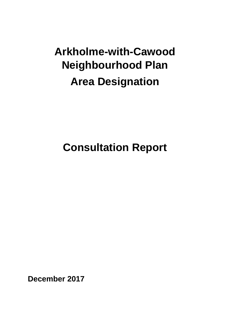# **Arkholme-with-Cawood Neighbourhood Plan Area Designation**

## **Consultation Report**

**December 2017**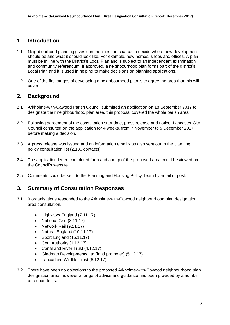### **1. Introduction**

- 1.1 Neighbourhood planning gives communities the chance to decide where new development should be and what it should look like. For example, new homes, shops and offices. A plan must be in line with the District's Local Plan and is subject to an independent examination and community referendum. If approved, a neighbourhood plan forms part of the district's Local Plan and it is used in helping to make decisions on planning applications.
- 1.2 One of the first stages of developing a neighbourhood plan is to agree the area that this will cover.

#### **2. Background**

- 2.1 Arkholme-with-Cawood Parish Council submitted an application on 18 September 2017 to designate their neighbourhood plan area, this proposal covered the whole parish area.
- 2.2 Following agreement of the consultation start date, press release and notice, Lancaster City Council consulted on the application for 4 weeks, from 7 November to 5 December 2017, before making a decision.
- 2.3 A press release was issued and an information email was also sent out to the planning policy consultation list (2,136 contacts).
- 2.4 The application letter, completed form and a map of the proposed area could be viewed on the Council's website.
- 2.5 Comments could be sent to the Planning and Housing Policy Team by email or post.

#### **3. Summary of Consultation Responses**

- 3.1 9 organisations responded to the Arkholme-with-Cawood neighbourhood plan designation area consultation.
	- Highways England (7.11.17)
	- National Grid (8.11.17)
	- Network Rail (9.11.17)
	- Natural England (10.11.17)
	- Sport England (15.11.17)
	- Coal Authority (1.12.17)
	- Canal and River Trust (4.12.17)
	- Gladman Developments Ltd (land promoter) (5.12.17)
	- Lancashire Wildlife Trust (6.12.17)
- 3.2 There have been no objections to the proposed Arkholme-with-Cawood neighbourhood plan designation area, however a range of advice and guidance has been provided by a number of respondents.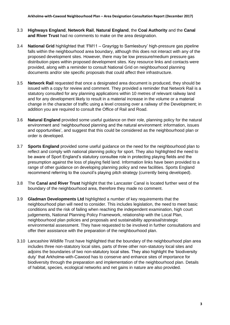- 3.3 **Highways England**, **Network Rail**, **Natural England**, the **Coal Authority** and the **Canal and River Trust** had no comments to make on the area designation.
- 3.4 **National Grid** highlighted that 'FM11 Grayrigg to Samlesbury' high-pressure gas pipeline falls within the neighbourhood area boundary, although this does not interact with any of the proposed development sites. However, there may be low pressure/medium pressure gas distribution pipes within proposed development sites. Key resource links and contacts were provided, along with a reminder to consult National Grid on neighbourhood planning documents and/or site specific proposals that could affect their infrastructure.
- 3.5 **Network Rail** requested that once a designated area document is produced, they should be issued with a copy for review and comment. They provided a reminder that Network Rail is a statutory consulted for any planning applications within 10 metres of relevant railway land and for any development likely to result in a material increase in the volume or a material change in the character of traffic using a level crossing over a railway of the Development; in addition you are required to consult the Office of Rail and Road.
- 3.6 **Natural England** provided some useful guidance on their role, planning policy for the natural environment and 'neighbourhood planning and the natural environment: information, issues and opportunities', and suggest that this could be considered as the neighbourhood plan or order is developed.
- 3.7 **Sports England** provided some useful guidance on the need for the neighbourhood plan to reflect and comply with national planning policy for sport. They also highlighted the need to be aware of Sport England's statutory consultee role in protecting playing fields and the presumption against the loss of playing field land. Information links have been provided to a range of other guidance on developing planning policy and new facilities. Sports England recommend referring to the council's playing pitch strategy (currently being developed).
- 3.8 The **Canal and River Trust** highlight that the Lancaster Canal is located further west of the boundary of the neighbourhood area, therefore they made no comment.
- 3.9 **Gladman Developments Ltd** highlighted a number of key requirements that the neighbourhood plan will need to consider. This includes legislation, the need to meet basic conditions and the risk of failing when reaching the independent examination, high court judgements, National Planning Policy Framework, relationship with the Local Plan, neighbourhood plan policies and proposals and sustainability appraisal/strategic environmental assessment. They have requested to be involved in further consultations and offer their assistance with the preparation of the neighbourhood plan.
- 3.10 Lancashire Wildlife Trust have highlighted that the boundary of the neighbourhood plan area includes three non-statutory local sites, parts of three other non-statutory local sites and adjoins the boundaries of two non-statutory local sites. They also highlight the 'biodiversity duty' that Arkholme-with-Cawood has to conserve and enhance sites of importance for biodiversity through the preparation and implementation of the neighbourhood plan. Details of habitat, species, ecological networks and net gains in nature are also provided.